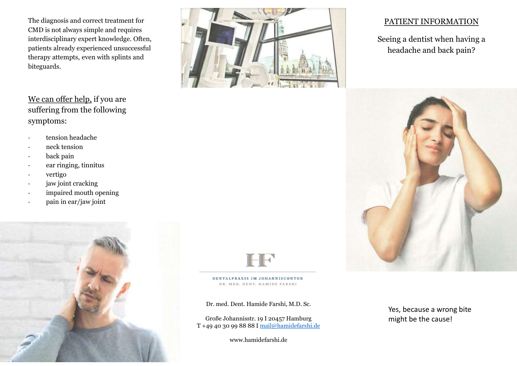The diagnosis and correct treatment for CMD is not always simple and requires interdisciplinary expert knowledge. Often, patients already experienced unsuccessful therapy attempts, even with splints and biteguards.

suffering from the following symptoms:

- tension headache
- neck tension
- back pain
- ear ringing, tinnitus
- vertigo
- jaw joint cracking
- impaired mouth opening
- pain in ear/jaw joint





Dr. med. Dent. Hamide Farshi, M.D. Sc.

Große Johannisstr. 19 I 20457 Hamburg might be the cause!<br>T +49 40 30 99 88 88 I mail@hamidefarshi.de

www.hamidefarshi.de

## PATIENT INFORMATION

Seeing a dentist when having a headache and back pain?